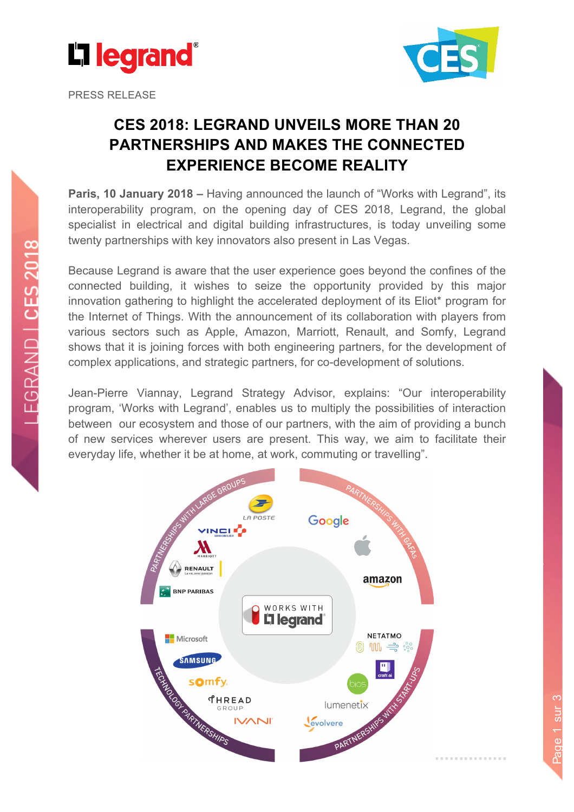

PRESS RELEASE



Page 1 sur 3

Page 1 sur 3

# **CES 2018: LEGRAND UNVEILS MORE THAN 20 PARTNERSHIPS AND MAKES THE CONNECTED EXPERIENCE BECOME REALITY**

**Paris, 10 January 2018 –** Having announced the launch of "Works with Legrand", its interoperability program, on the opening day of CES 2018, Legrand, the global specialist in electrical and digital building infrastructures, is today unveiling some twenty partnerships with key innovators also present in Las Vegas.

Because Legrand is aware that the user experience goes beyond the confines of the connected building, it wishes to seize the opportunity provided by this major innovation gathering to highlight the accelerated deployment of its Eliot\* program for the Internet of Things. With the announcement of its collaboration with players from various sectors such as Apple, Amazon, Marriott, Renault, and Somfy, Legrand shows that it is joining forces with both engineering partners, for the development of complex applications, and strategic partners, for co-development of solutions.

Jean-Pierre Viannay, Legrand Strategy Advisor, explains: "Our interoperability program, 'Works with Legrand', enables us to multiply the possibilities of interaction between our ecosystem and those of our partners, with the aim of providing a bunch of new services wherever users are present. This way, we aim to facilitate their everyday life, whether it be at home, at work, commuting or travelling".

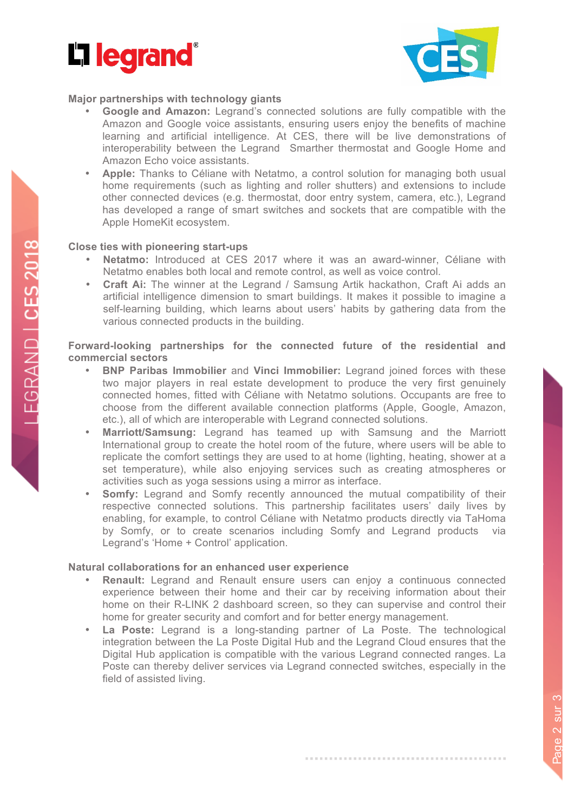



### **Major partnerships with technology giants**

- **Google and Amazon:** Legrand's connected solutions are fully compatible with the Amazon and Google voice assistants, ensuring users enjoy the benefits of machine learning and artificial intelligence. At CES, there will be live demonstrations of interoperability between the Legrand Smarther thermostat and Google Home and Amazon Echo voice assistants.
- **Apple:** Thanks to Céliane with Netatmo, a control solution for managing both usual home requirements (such as lighting and roller shutters) and extensions to include other connected devices (e.g. thermostat, door entry system, camera, etc.), Legrand has developed a range of smart switches and sockets that are compatible with the Apple HomeKit ecosystem.

### **Close ties with pioneering start-ups**

- **Netatmo:** Introduced at CES 2017 where it was an award-winner, Céliane with Netatmo enables both local and remote control, as well as voice control.
- **Craft Ai:** The winner at the Legrand / Samsung Artik hackathon, Craft Ai adds an artificial intelligence dimension to smart buildings. It makes it possible to imagine a self-learning building, which learns about users' habits by gathering data from the various connected products in the building.

# **Forward-looking partnerships for the connected future of the residential and commercial sectors**

- **BNP Paribas Immobilier** and **Vinci Immobilier:** Legrand joined forces with these two major players in real estate development to produce the very first genuinely connected homes, fitted with Céliane with Netatmo solutions. Occupants are free to choose from the different available connection platforms (Apple, Google, Amazon, etc.), all of which are interoperable with Legrand connected solutions.
- **Marriott/Samsung:** Legrand has teamed up with Samsung and the Marriott International group to create the hotel room of the future, where users will be able to replicate the comfort settings they are used to at home (lighting, heating, shower at a set temperature), while also enjoying services such as creating atmospheres or activities such as yoga sessions using a mirror as interface.
- **Somfy:** Legrand and Somfy recently announced the mutual compatibility of their respective connected solutions. This partnership facilitates users' daily lives by enabling, for example, to control Céliane with Netatmo products directly via TaHoma by Somfy, or to create scenarios including Somfy and Legrand products via Legrand's 'Home + Control' application.

# **Natural collaborations for an enhanced user experience**

- **Renault:** Legrand and Renault ensure users can enjoy a continuous connected experience between their home and their car by receiving information about their home on their R-LINK 2 dashboard screen, so they can supervise and control their home for greater security and comfort and for better energy management.
- **La Poste:** Legrand is a long-standing partner of La Poste. The technological integration between the La Poste Digital Hub and the Legrand Cloud ensures that the Digital Hub application is compatible with the various Legrand connected ranges. La Poste can thereby deliver services via Legrand connected switches, especially in the field of assisted living.